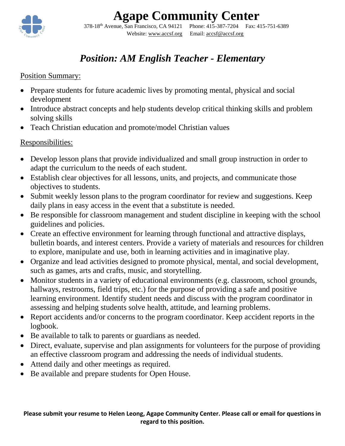

# **Agape Community Center**

378-18th Avenue, San Francisco, CA 94121 Phone: 415-387-7204 Fax: 415-751-6389 Website: [www.accsf.org](http://www.accsf.org/) Email: [accsf@a](mailto:accsf@sbcglobal.net)ccsf.org

### *Position: AM English Teacher - Elementary*

#### Position Summary:

- Prepare students for future academic lives by promoting mental, physical and social development
- Introduce abstract concepts and help students develop critical thinking skills and problem solving skills
- Teach Christian education and promote/model Christian values

### Responsibilities:

- Develop lesson plans that provide individualized and small group instruction in order to adapt the curriculum to the needs of each student.
- Establish clear objectives for all lessons, units, and projects, and communicate those objectives to students.
- Submit weekly lesson plans to the program coordinator for review and suggestions. Keep daily plans in easy access in the event that a substitute is needed.
- Be responsible for classroom management and student discipline in keeping with the school guidelines and policies.
- Create an effective environment for learning through functional and attractive displays, bulletin boards, and interest centers. Provide a variety of materials and resources for children to explore, manipulate and use, both in learning activities and in imaginative play.
- Organize and lead activities designed to promote physical, mental, and social development, such as games, arts and crafts, music, and storytelling.
- Monitor students in a variety of educational environments (e.g. classroom, school grounds, hallways, restrooms, field trips, etc.) for the purpose of providing a safe and positive learning environment. Identify student needs and discuss with the program coordinator in assessing and helping students solve health, attitude, and learning problems.
- Report accidents and/or concerns to the program coordinator. Keep accident reports in the logbook.
- Be available to talk to parents or guardians as needed.
- Direct, evaluate, supervise and plan assignments for volunteers for the purpose of providing an effective classroom program and addressing the needs of individual students.
- Attend daily and other meetings as required.
- Be available and prepare students for Open House.